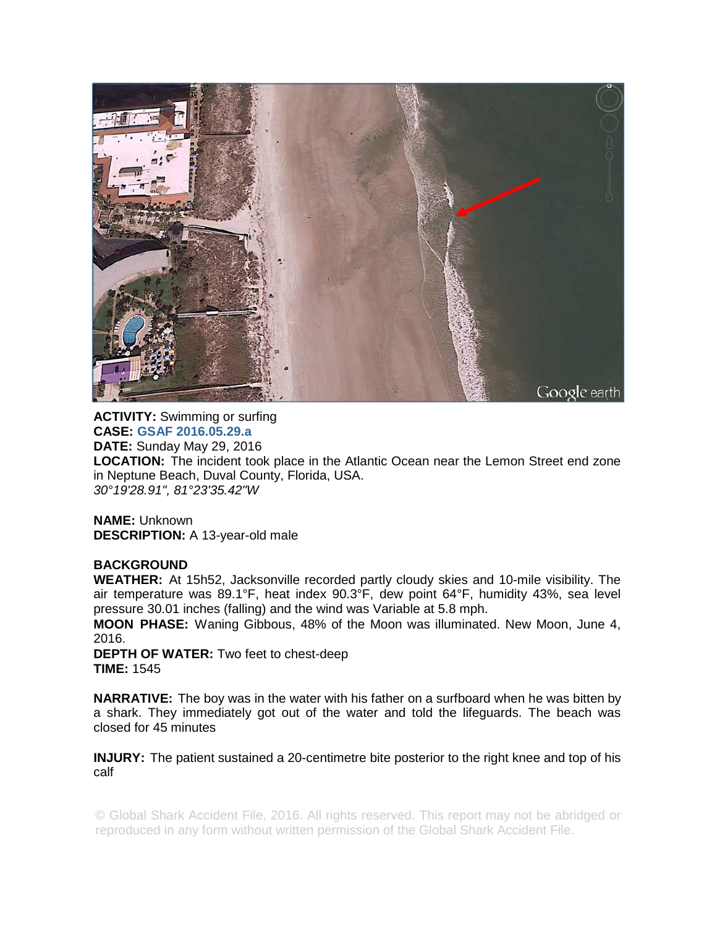

**ACTIVITY:** Swimming or surfing **CASE: GSAF 2016.05.29.a DATE:** Sunday May 29, 2016 **LOCATION:** The incident took place in the Atlantic Ocean near the Lemon Street end zone in Neptune Beach, Duval County, Florida, USA. *30°19'28.91", 81°23'35.42"W* 

**NAME:** Unknown **DESCRIPTION:** A 13-year-old male

## **BACKGROUND**

**WEATHER:** At 15h52, Jacksonville recorded partly cloudy skies and 10-mile visibility. The air temperature was 89.1°F, heat index 90.3°F, dew point 64°F, humidity 43%, sea level pressure 30.01 inches (falling) and the wind was Variable at 5.8 mph.

**MOON PHASE:** Waning Gibbous, 48% of the Moon was illuminated. New Moon, June 4, 2016.

**DEPTH OF WATER:** Two feet to chest-deep **TIME:** 1545

**NARRATIVE:** The boy was in the water with his father on a surfboard when he was bitten by a shark. They immediately got out of the water and told the lifeguards. The beach was closed for 45 minutes

**INJURY:** The patient sustained a 20-centimetre bite posterior to the right knee and top of his calf

© Global Shark Accident File, 2016. All rights reserved. This report may not be abridged or reproduced in any form without written permission of the Global Shark Accident File.